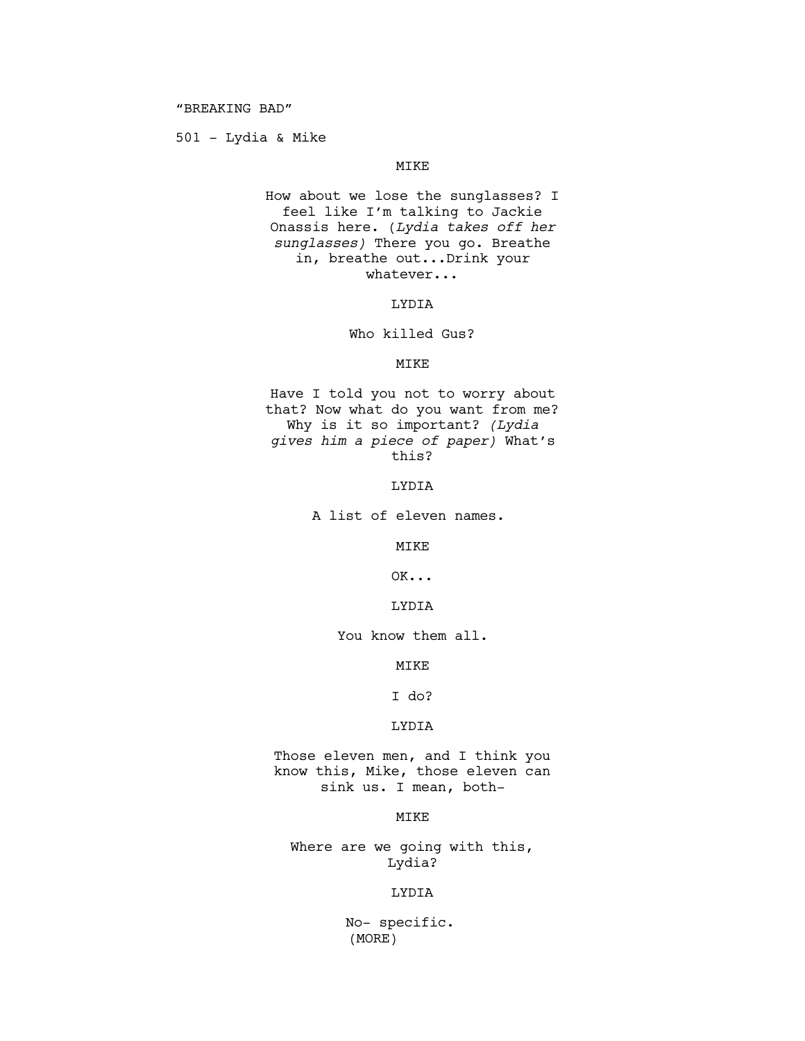501 - Lydia & Mike

# MIKE

How about we lose the sunglasses? I feel like I'm talking to Jackie Onassis here. (*Lydia takes off her sunglasses)* There you go. Breathe in, breathe out...Drink your whatever...

LYDIA

Who killed Gus?

#### MIKE

Have I told you not to worry about that? Now what do you want from me? Why is it so important? *(Lydia gives him a piece of paper)* What's this?

LYDIA

A list of eleven names.

MTK<sub>E</sub>

OK...

## LYDIA

You know them all.

MIKE

I do?

## LYDIA

Those eleven men, and I think you know this, Mike, those eleven can sink us. I mean, both-

## MIKE

Where are we going with this, Lydia?

### LYDIA

 No- specific. (MORE)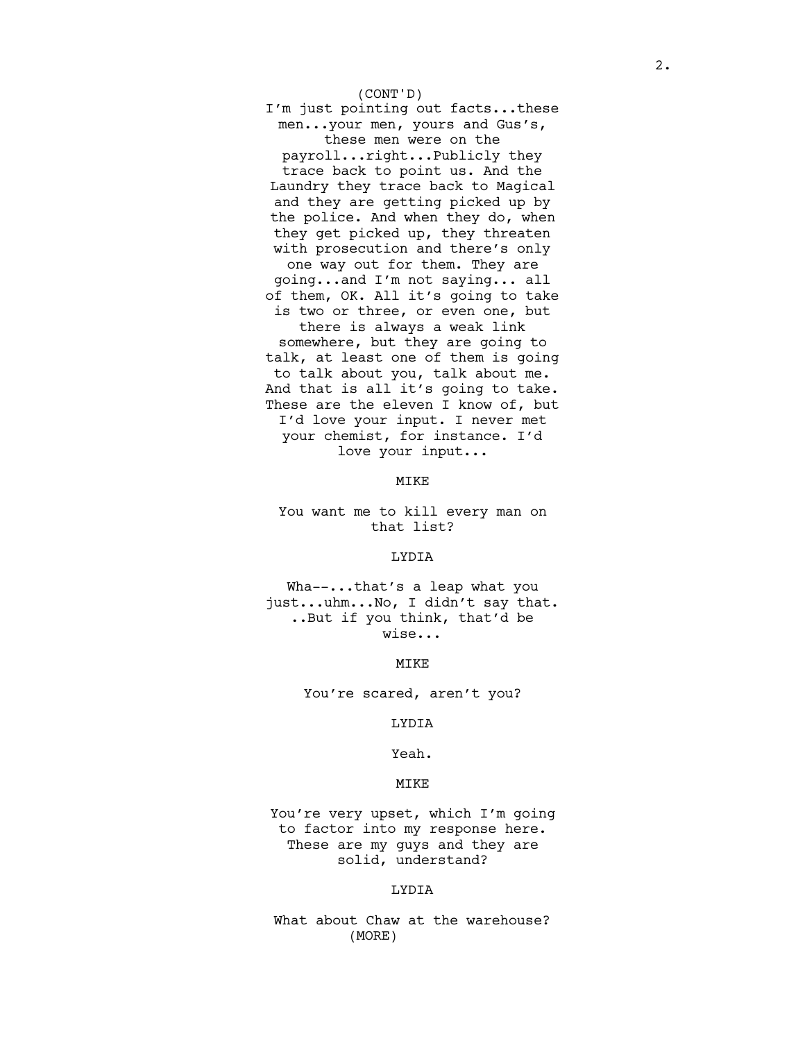### (CONT'D)

I'm just pointing out facts...these men...your men, yours and Gus's, these men were on the

payroll...right...Publicly they trace back to point us. And the Laundry they trace back to Magical and they are getting picked up by the police. And when they do, when they get picked up, they threaten with prosecution and there's only one way out for them. They are going...and I'm not saying... all of them, OK. All it's going to take is two or three, or even one, but there is always a weak link somewhere, but they are going to talk, at least one of them is going to talk about you, talk about me. And that is all it's going to take. These are the eleven I know of, but I'd love your input. I never met your chemist, for instance. I'd love your input...

MIKE

You want me to kill every man on that list?

#### LYDIA

Wha--...that's a leap what you just...uhm...No, I didn't say that. ..But if you think, that'd be wise...

MIKE

You're scared, aren't you?

LYDIA

Yeah.

#### MIKE

You're very upset, which I'm going to factor into my response here. These are my guys and they are solid, understand?

### LYDIA

What about Chaw at the warehouse? (MORE)